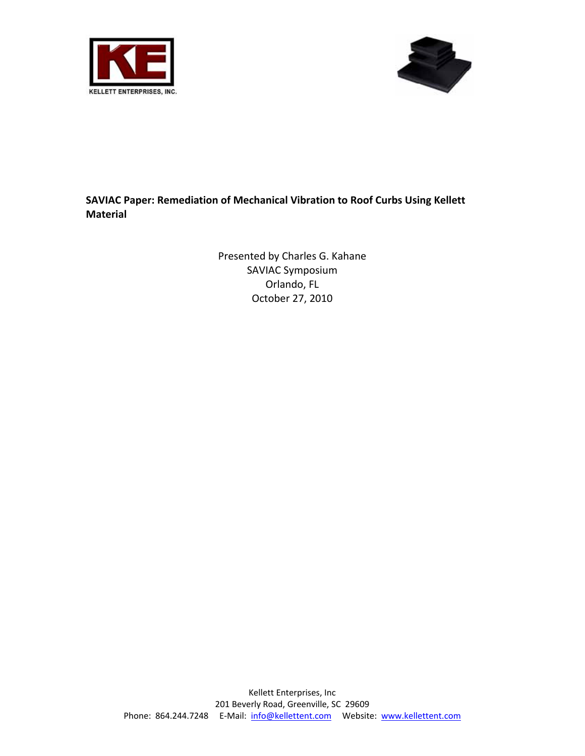



## **SAVIAC Paper: Remediation of Mechanical Vibration to Roof Curbs Using Kellett Material**

Presented by Charles G. Kahane SAVIAC Symposium Orlando, FL October 27, 2010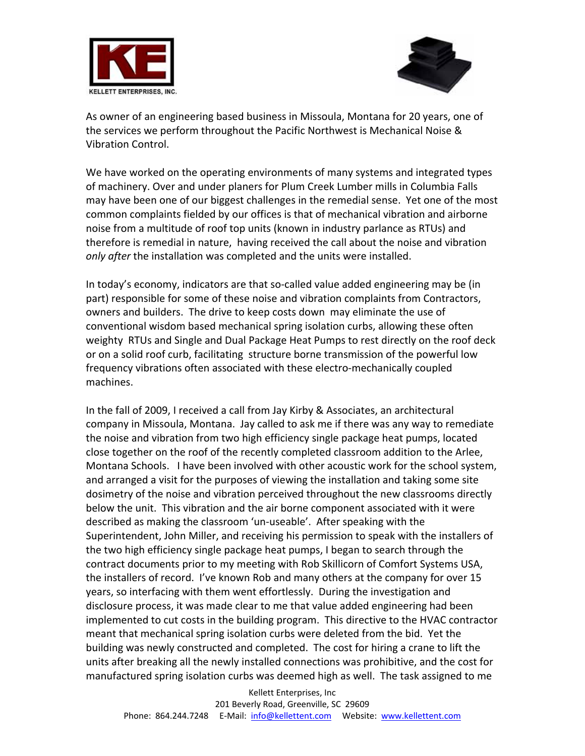



As owner of an engineering based business in Missoula, Montana for 20 years, one of the services we perform throughout the Pacific Northwest is Mechanical Noise & Vibration Control.

We have worked on the operating environments of many systems and integrated types of machinery. Over and under planers for Plum Creek Lumber mills in Columbia Falls may have been one of our biggest challenges in the remedial sense. Yet one of the most common complaints fielded by our offices is that of mechanical vibration and airborne noise from a multitude of roof top units (known in industry parlance as RTUs) and therefore is remedial in nature, having received the call about the noise and vibration *only after* the installation was completed and the units were installed.

In today's economy, indicators are that so‐called value added engineering may be (in part) responsible for some of these noise and vibration complaints from Contractors, owners and builders. The drive to keep costs down may eliminate the use of conventional wisdom based mechanical spring isolation curbs, allowing these often weighty RTUs and Single and Dual Package Heat Pumps to rest directly on the roof deck or on a solid roof curb, facilitating structure borne transmission of the powerful low frequency vibrations often associated with these electro‐mechanically coupled machines.

In the fall of 2009, I received a call from Jay Kirby & Associates, an architectural company in Missoula, Montana. Jay called to ask me if there was any way to remediate the noise and vibration from two high efficiency single package heat pumps, located close together on the roof of the recently completed classroom addition to the Arlee, Montana Schools. I have been involved with other acoustic work for the school system, and arranged a visit for the purposes of viewing the installation and taking some site dosimetry of the noise and vibration perceived throughout the new classrooms directly below the unit. This vibration and the air borne component associated with it were described as making the classroom 'un‐useable'. After speaking with the Superintendent, John Miller, and receiving his permission to speak with the installers of the two high efficiency single package heat pumps, I began to search through the contract documents prior to my meeting with Rob Skillicorn of Comfort Systems USA, the installers of record. I've known Rob and many others at the company for over 15 years, so interfacing with them went effortlessly. During the investigation and disclosure process, it was made clear to me that value added engineering had been implemented to cut costs in the building program. This directive to the HVAC contractor meant that mechanical spring isolation curbs were deleted from the bid. Yet the building was newly constructed and completed. The cost for hiring a crane to lift the units after breaking all the newly installed connections was prohibitive, and the cost for manufactured spring isolation curbs was deemed high as well. The task assigned to me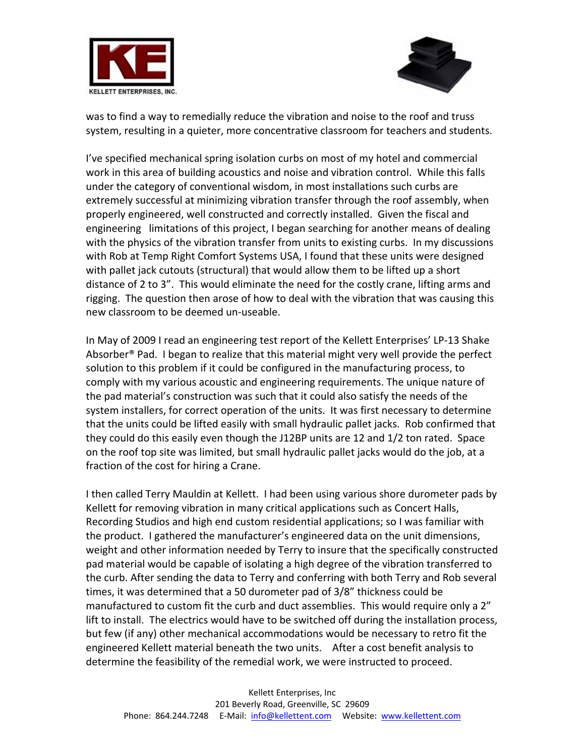



was to find a way to remedially reduce the vibration and noise to the roof and truss system, resulting in a quieter, more concentrative classroom for teachers and students.

I've specified mechanical spring isolation curbs on most of my hotel and commercial work in this area of building acoustics and noise and vibration control. While this falls under the category of conventional wisdom, in most installations such curbs are extremely successful at minimizing vibration transfer through the roof assembly, when properly engineered, well constructed and correctly installed. Given the fiscal and engineering limitations of this project, I began searching for another means of dealing with the physics of the vibration transfer from units to existing curbs. In my discussions with Rob at Temp Right Comfort Systems USA, I found that these units were designed with pallet jack cutouts (structural) that would allow them to be lifted up a short distance of 2 to 3". This would eliminate the need for the costly crane, lifting arms and rigging. The question then arose of how to deal with the vibration that was causing this new classroom to be deemed un‐useable.

In May of 2009 I read an engineering test report of the Kellett Enterprises' LP‐13 Shake Absorber® Pad. I began to realize that this material might very well provide the perfect solution to this problem if it could be configured in the manufacturing process, to comply with my various acoustic and engineering requirements. The unique nature of the pad material's construction was such that it could also satisfy the needs of the system installers, for correct operation of the units. It was first necessary to determine that the units could be lifted easily with small hydraulic pallet jacks. Rob confirmed that they could do this easily even though the J12BP units are 12 and 1/2 ton rated. Space on the roof top site was limited, but small hydraulic pallet jacks would do the job, at a fraction of the cost for hiring a Crane.

I then called Terry Mauldin at Kellett. I had been using various shore durometer pads by Kellett for removing vibration in many critical applications such as Concert Halls, Recording Studios and high end custom residential applications; so I was familiar with the product. I gathered the manufacturer's engineered data on the unit dimensions, weight and other information needed by Terry to insure that the specifically constructed pad material would be capable of isolating a high degree of the vibration transferred to the curb. After sending the data to Terry and conferring with both Terry and Rob several times, it was determined that a 50 durometer pad of 3/8" thickness could be manufactured to custom fit the curb and duct assemblies. This would require only a 2" lift to install. The electrics would have to be switched off during the installation process, but few (if any) other mechanical accommodations would be necessary to retro fit the engineered Kellett material beneath the two units. After a cost benefit analysis to determine the feasibility of the remedial work, we were instructed to proceed.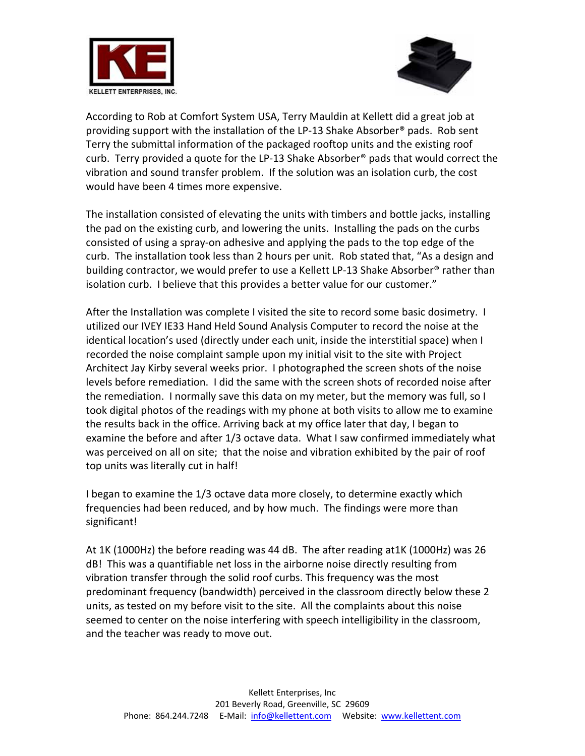



According to Rob at Comfort System USA, Terry Mauldin at Kellett did a great job at providing support with the installation of the LP‐13 Shake Absorber® pads. Rob sent Terry the submittal information of the packaged rooftop units and the existing roof curb. Terry provided a quote for the LP‐13 Shake Absorber® pads that would correct the vibration and sound transfer problem. If the solution was an isolation curb, the cost would have been 4 times more expensive.

The installation consisted of elevating the units with timbers and bottle jacks, installing the pad on the existing curb, and lowering the units. Installing the pads on the curbs consisted of using a spray‐on adhesive and applying the pads to the top edge of the curb. The installation took less than 2 hours per unit. Rob stated that, "As a design and building contractor, we would prefer to use a Kellett LP-13 Shake Absorber® rather than isolation curb. I believe that this provides a better value for our customer."

After the Installation was complete I visited the site to record some basic dosimetry. I utilized our IVEY IE33 Hand Held Sound Analysis Computer to record the noise at the identical location's used (directly under each unit, inside the interstitial space) when I recorded the noise complaint sample upon my initial visit to the site with Project Architect Jay Kirby several weeks prior. I photographed the screen shots of the noise levels before remediation. I did the same with the screen shots of recorded noise after the remediation. I normally save this data on my meter, but the memory was full, so I took digital photos of the readings with my phone at both visits to allow me to examine the results back in the office. Arriving back at my office later that day, I began to examine the before and after 1/3 octave data. What I saw confirmed immediately what was perceived on all on site; that the noise and vibration exhibited by the pair of roof top units was literally cut in half!

I began to examine the 1/3 octave data more closely, to determine exactly which frequencies had been reduced, and by how much. The findings were more than significant!

At 1K (1000Hz) the before reading was 44 dB. The after reading at1K (1000Hz) was 26 dB! This was a quantifiable net loss in the airborne noise directly resulting from vibration transfer through the solid roof curbs. This frequency was the most predominant frequency (bandwidth) perceived in the classroom directly below these 2 units, as tested on my before visit to the site. All the complaints about this noise seemed to center on the noise interfering with speech intelligibility in the classroom, and the teacher was ready to move out.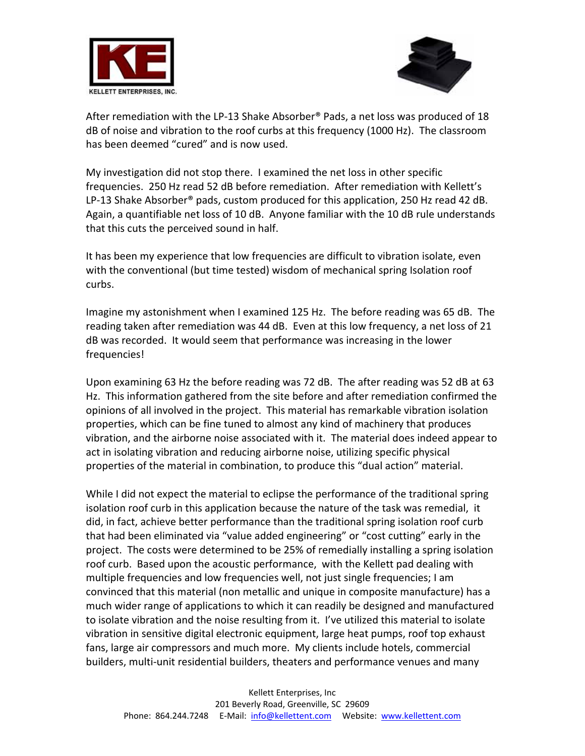



After remediation with the LP-13 Shake Absorber® Pads, a net loss was produced of 18 dB of noise and vibration to the roof curbs at this frequency (1000 Hz). The classroom has been deemed "cured" and is now used.

My investigation did not stop there. I examined the net loss in other specific frequencies. 250 Hz read 52 dB before remediation. After remediation with Kellett's LP-13 Shake Absorber<sup>®</sup> pads, custom produced for this application, 250 Hz read 42 dB. Again, a quantifiable net loss of 10 dB. Anyone familiar with the 10 dB rule understands that this cuts the perceived sound in half.

It has been my experience that low frequencies are difficult to vibration isolate, even with the conventional (but time tested) wisdom of mechanical spring Isolation roof curbs.

Imagine my astonishment when I examined 125 Hz. The before reading was 65 dB. The reading taken after remediation was 44 dB. Even at this low frequency, a net loss of 21 dB was recorded. It would seem that performance was increasing in the lower frequencies!

Upon examining 63 Hz the before reading was 72 dB. The after reading was 52 dB at 63 Hz. This information gathered from the site before and after remediation confirmed the opinions of all involved in the project. This material has remarkable vibration isolation properties, which can be fine tuned to almost any kind of machinery that produces vibration, and the airborne noise associated with it. The material does indeed appear to act in isolating vibration and reducing airborne noise, utilizing specific physical properties of the material in combination, to produce this "dual action" material.

While I did not expect the material to eclipse the performance of the traditional spring isolation roof curb in this application because the nature of the task was remedial, it did, in fact, achieve better performance than the traditional spring isolation roof curb that had been eliminated via "value added engineering" or "cost cutting" early in the project. The costs were determined to be 25% of remedially installing a spring isolation roof curb. Based upon the acoustic performance, with the Kellett pad dealing with multiple frequencies and low frequencies well, not just single frequencies; I am convinced that this material (non metallic and unique in composite manufacture) has a much wider range of applications to which it can readily be designed and manufactured to isolate vibration and the noise resulting from it. I've utilized this material to isolate vibration in sensitive digital electronic equipment, large heat pumps, roof top exhaust fans, large air compressors and much more. My clients include hotels, commercial builders, multi‐unit residential builders, theaters and performance venues and many